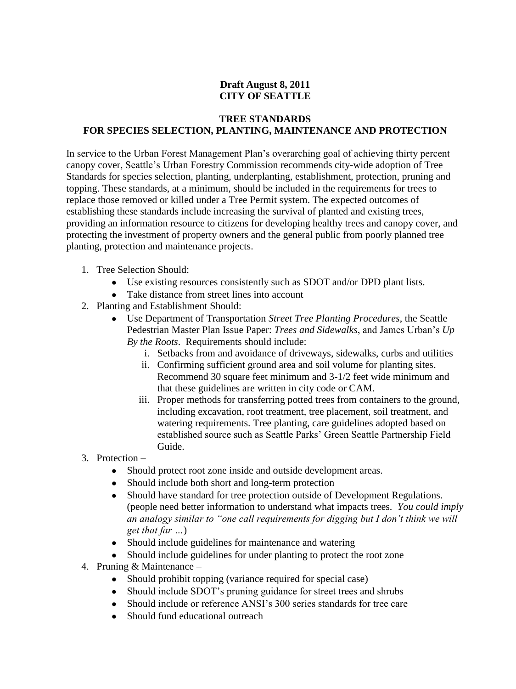## **Draft August 8, 2011 CITY OF SEATTLE**

## **TREE STANDARDS FOR SPECIES SELECTION, PLANTING, MAINTENANCE AND PROTECTION**

In service to the Urban Forest Management Plan's overarching goal of achieving thirty percent canopy cover, Seattle's Urban Forestry Commission recommends city-wide adoption of Tree Standards for species selection, planting, underplanting, establishment, protection, pruning and topping. These standards, at a minimum, should be included in the requirements for trees to replace those removed or killed under a Tree Permit system. The expected outcomes of establishing these standards include increasing the survival of planted and existing trees, providing an information resource to citizens for developing healthy trees and canopy cover, and protecting the investment of property owners and the general public from poorly planned tree planting, protection and maintenance projects.

- 1. Tree Selection Should:
	- Use existing resources consistently such as SDOT and/or DPD plant lists.
	- Take distance from street lines into account
- 2. Planting and Establishment Should:
	- Use Department of Transportation *Street Tree Planting Procedures*, the Seattle Pedestrian Master Plan Issue Paper: *Trees and Sidewalks*, and James Urban's *Up By the Roots*. Requirements should include:
		- i. Setbacks from and avoidance of driveways, sidewalks, curbs and utilities
		- ii. Confirming sufficient ground area and soil volume for planting sites. Recommend 30 square feet minimum and 3-1/2 feet wide minimum and that these guidelines are written in city code or CAM.
		- iii. Proper methods for transferring potted trees from containers to the ground, including excavation, root treatment, tree placement, soil treatment, and watering requirements. Tree planting, care guidelines adopted based on established source such as Seattle Parks' Green Seattle Partnership Field Guide.
- 3. Protection
	- Should protect root zone inside and outside development areas.
	- Should include both short and long-term protection
	- Should have standard for tree protection outside of Development Regulations. (people need better information to understand what impacts trees. *You could imply an analogy similar to "one call requirements for digging but I don't think we will get that far …*)
	- Should include guidelines for maintenance and watering
	- Should include guidelines for under planting to protect the root zone
- 4. Pruning & Maintenance
	- Should prohibit topping (variance required for special case)
	- Should include SDOT's pruning guidance for street trees and shrubs
	- Should include or reference ANSI's 300 series standards for tree care
	- Should fund educational outreach